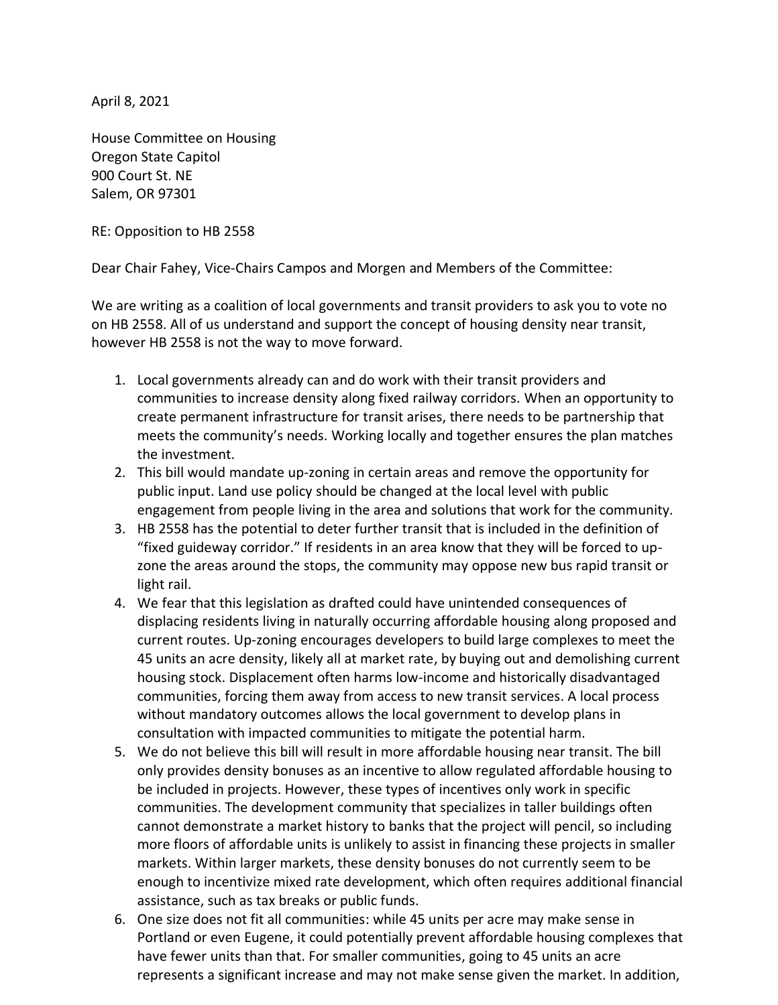April 8, 2021

House Committee on Housing Oregon State Capitol 900 Court St. NE Salem, OR 97301

RE: Opposition to HB 2558

Dear Chair Fahey, Vice-Chairs Campos and Morgen and Members of the Committee:

We are writing as a coalition of local governments and transit providers to ask you to vote no on HB 2558. All of us understand and support the concept of housing density near transit, however HB 2558 is not the way to move forward.

- 1. Local governments already can and do work with their transit providers and communities to increase density along fixed railway corridors. When an opportunity to create permanent infrastructure for transit arises, there needs to be partnership that meets the community's needs. Working locally and together ensures the plan matches the investment.
- 2. This bill would mandate up-zoning in certain areas and remove the opportunity for public input. Land use policy should be changed at the local level with public engagement from people living in the area and solutions that work for the community.
- 3. HB 2558 has the potential to deter further transit that is included in the definition of "fixed guideway corridor." If residents in an area know that they will be forced to upzone the areas around the stops, the community may oppose new bus rapid transit or light rail.
- 4. We fear that this legislation as drafted could have unintended consequences of displacing residents living in naturally occurring affordable housing along proposed and current routes. Up-zoning encourages developers to build large complexes to meet the 45 units an acre density, likely all at market rate, by buying out and demolishing current housing stock. Displacement often harms low-income and historically disadvantaged communities, forcing them away from access to new transit services. A local process without mandatory outcomes allows the local government to develop plans in consultation with impacted communities to mitigate the potential harm.
- 5. We do not believe this bill will result in more affordable housing near transit. The bill only provides density bonuses as an incentive to allow regulated affordable housing to be included in projects. However, these types of incentives only work in specific communities. The development community that specializes in taller buildings often cannot demonstrate a market history to banks that the project will pencil, so including more floors of affordable units is unlikely to assist in financing these projects in smaller markets. Within larger markets, these density bonuses do not currently seem to be enough to incentivize mixed rate development, which often requires additional financial assistance, such as tax breaks or public funds.
- 6. One size does not fit all communities: while 45 units per acre may make sense in Portland or even Eugene, it could potentially prevent affordable housing complexes that have fewer units than that. For smaller communities, going to 45 units an acre represents a significant increase and may not make sense given the market. In addition,